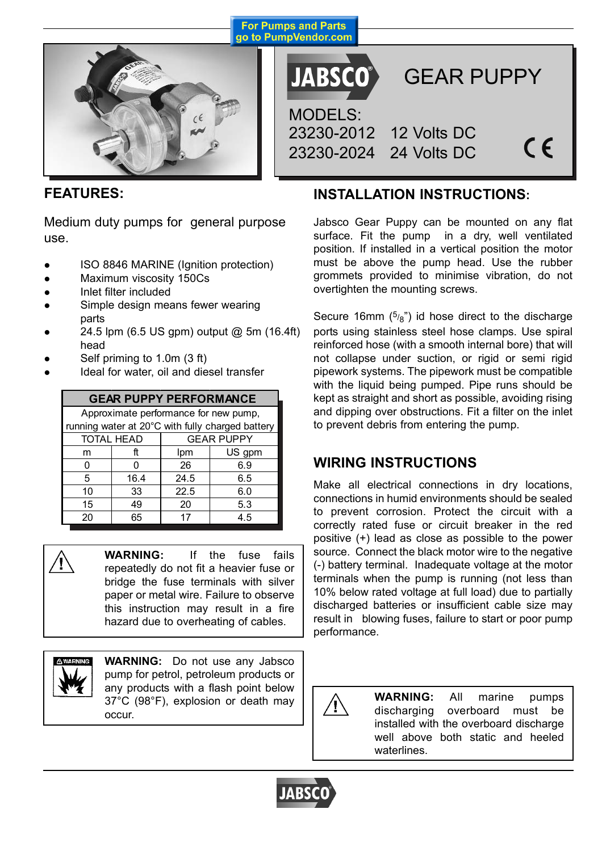

**For Pumps and Parts** go to PumpVendor.com

**JABSCO**®

GEAR PUPPY

MODELS: 23230-2012 12 Volts DC 23230-2024 24 Volts DC

 $\epsilon$ 

## **FEATURES:**

Medium duty pumps for general purpose use.

- ISO 8846 MARINE (Ignition protection)
- Maximum viscosity 150Cs
- Inlet filter included
- Simple design means fewer wearing parts
- 24.5 lpm (6.5 US gpm) output @ 5m (16.4ft) head
- Self priming to 1.0m (3 ft)
- Ideal for water, oil and diesel transfer

| <b>GEAR PUPPY PERFORMANCE</b>                    |      |                   |        |  |  |  |  |  |
|--------------------------------------------------|------|-------------------|--------|--|--|--|--|--|
| Approximate performance for new pump,            |      |                   |        |  |  |  |  |  |
| running water at 20°C with fully charged battery |      |                   |        |  |  |  |  |  |
| <b>TOTAL HEAD</b>                                |      | <b>GEAR PUPPY</b> |        |  |  |  |  |  |
| m                                                | ft   | Ipm               | US gpm |  |  |  |  |  |
| O                                                | n    | 26                | 6.9    |  |  |  |  |  |
| 5                                                | 16.4 | 24.5              | 6.5    |  |  |  |  |  |
| 10                                               | 33   | 22.5              | 6.0    |  |  |  |  |  |
| 15                                               | 49   | 20                | 5.3    |  |  |  |  |  |
| 20                                               | 65   | 17                | 4.5    |  |  |  |  |  |

**WARNING:** If the fuse fails repeatedly do not fit a heavier fuse or bridge the fuse terminals with silver paper or metal wire. Failure to observe this instruction may result in a fire hazard due to overheating of cables.



**WARNING:** Do not use any Jabsco pump for petrol, petroleum products or any products with a flash point below 37°C (98°F), explosion or death may occur.

## **INSTALLATION INSTRUCTIONS:**

Jabsco Gear Puppy can be mounted on any flat surface. Fit the pump in a dry, well ventilated position. If installed in a vertical position the motor must be above the pump head. Use the rubber grommets provided to minimise vibration, do not overtighten the mounting screws.

Secure 16mm  $(5/8)$  id hose direct to the discharge ports using stainless steel hose clamps. Use spiral reinforced hose (with a smooth internal bore) that will not collapse under suction, or rigid or semi rigid pipework systems. The pipework must be compatible with the liquid being pumped. Pipe runs should be kept as straight and short as possible, avoiding rising and dipping over obstructions. Fit a filter on the inlet to prevent debris from entering the pump.

## **WIRING INSTRUCTIONS**

Make all electrical connections in dry locations, connections in humid environments should be sealed to prevent corrosion. Protect the circuit with a correctly rated fuse or circuit breaker in the red positive (+) lead as close as possible to the power source. Connect the black motor wire to the negative (-) battery terminal. Inadequate voltage at the motor terminals when the pump is running (not less than 10% below rated voltage at full load) due to partially discharged batteries or insufficient cable size may result in blowing fuses, failure to start or poor pump performance.